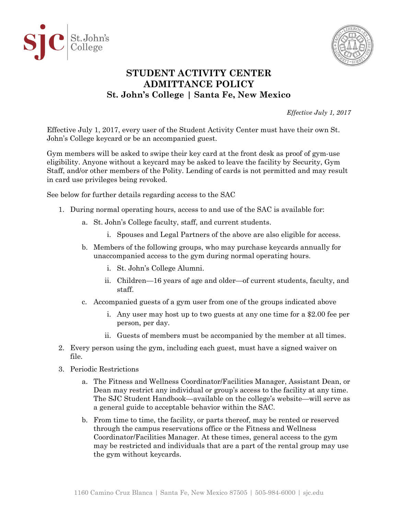



## **STUDENT ACTIVITY CENTER ADMITTANCE POLICY St. John's College | Santa Fe, New Mexico**

*Effective July 1, 2017*

Effective July 1, 2017, every user of the Student Activity Center must have their own St. John's College keycard or be an accompanied guest.

Gym members will be asked to swipe their key card at the front desk as proof of gym-use eligibility. Anyone without a keycard may be asked to leave the facility by Security, Gym Staff, and/or other members of the Polity. Lending of cards is not permitted and may result in card use privileges being revoked.

See below for further details regarding access to the SAC

- 1. During normal operating hours, access to and use of the SAC is available for:
	- a. St. John's College faculty, staff, and current students.
		- i. Spouses and Legal Partners of the above are also eligible for access.
	- b. Members of the following groups, who may purchase keycards annually for unaccompanied access to the gym during normal operating hours.
		- i. St. John's College Alumni.
		- ii. Children—16 years of age and older—of current students, faculty, and staff.
	- c. Accompanied guests of a gym user from one of the groups indicated above
		- i. Any user may host up to two guests at any one time for a \$2.00 fee per person, per day.
		- ii. Guests of members must be accompanied by the member at all times.
- 2. Every person using the gym, including each guest, must have a signed waiver on file.
- 3. Periodic Restrictions
	- a. The Fitness and Wellness Coordinator/Facilities Manager, Assistant Dean, or Dean may restrict any individual or group's access to the facility at any time. The SJC Student Handbook—available on the college's website—will serve as a general guide to acceptable behavior within the SAC.
	- b. From time to time, the facility, or parts thereof, may be rented or reserved through the campus reservations office or the Fitness and Wellness Coordinator/Facilities Manager. At these times, general access to the gym may be restricted and individuals that are a part of the rental group may use the gym without keycards.